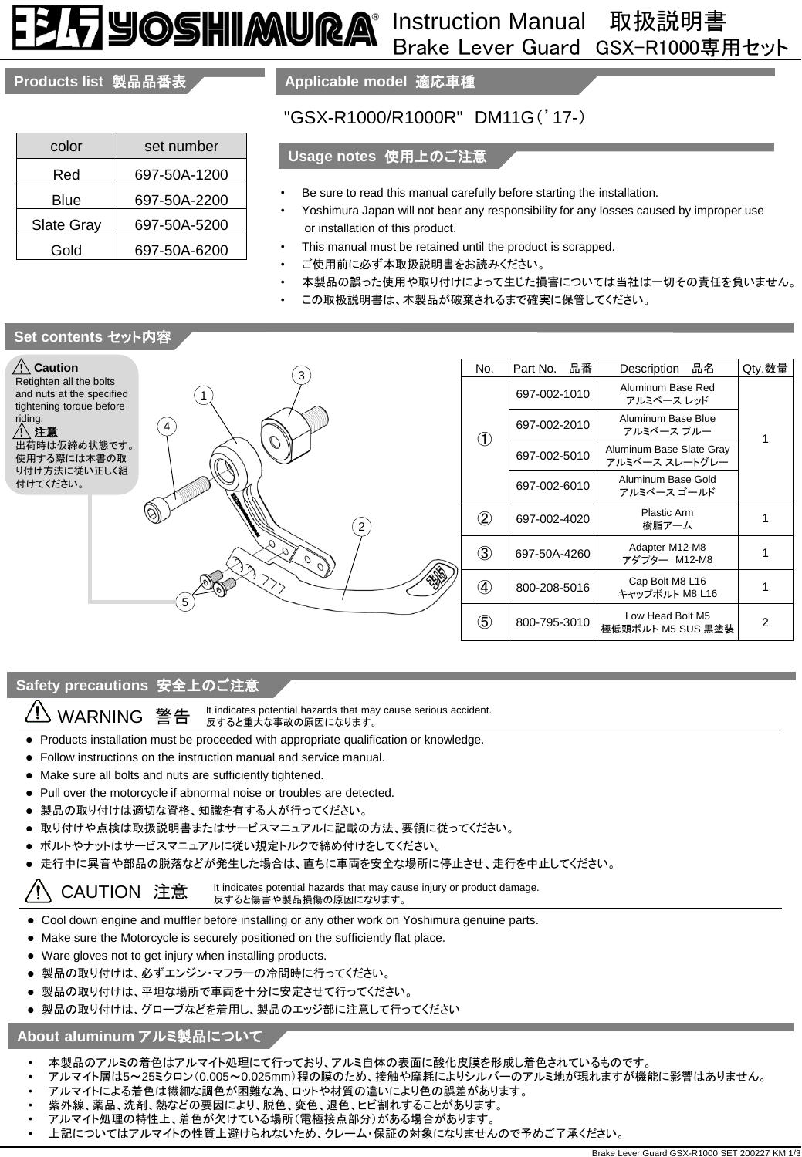# 7905HIMURA® Instruction Manual 取扱説明書

# Brake Lever Guard GSX-R1000専用セット

# **Products list** 製品品番表

| color      | set number   |
|------------|--------------|
| Red        | 697-50A-1200 |
| Blue       | 697-50A-2200 |
| Slate Gray | 697-50A-5200 |
| Gold       | 697-50A-6200 |

**Applicable model** 適応車種

# "GSX-R1000/R1000R" DM11G('17-)

## **Usage notes** 使用上のご注意

- Be sure to read this manual carefully before starting the installation.
- Yoshimura Japan will not bear any responsibility for any losses caused by improper use or installation of this product.
- This manual must be retained until the product is scrapped.
- ご使用前に必ず本取扱説明書をお読みください。
- 本製品の誤った使用や取り付けによって生じた損害については当社は一切その責任を負いません。
- この取扱説明書は、本製品が破棄されるまで確実に保管してください。

# **Set contents** セット内容



### **Safety precautions** 安全上のご注意

It indicates potential hazards that may cause serious accident. WARNING 警告 反すると重大な事故の原因になります。

- Products installation must be proceeded with appropriate qualification or knowledge.
- Follow instructions on the instruction manual and service manual.
- Make sure all bolts and nuts are sufficiently tightened.
- Pull over the motorcycle if abnormal noise or troubles are detected.
- 製品の取り付けは適切な資格、知識を有する人が行ってください。
- 取り付けや点検は取扱説明書またはサービスマニュアルに記載の方法、要領に従ってください。
- ボルトやナットはサービスマニュアルに従い規定トルクで締め付けをしてください。
- 走行中に異音や部品の脱落などが発生した場合は、直ちに車両を安全な場所に停止させ、走行を中止してください。

#### CAUTION 注意 It indicates potential hazards that may cause injury or product damage.<br>
反すると傷害や製品損傷の原因になります。 Ţ

- Cool down engine and muffler before installing or any other work on Yoshimura genuine parts.
- Make sure the Motorcycle is securely positioned on the sufficiently flat place.
- Ware gloves not to get injury when installing products.
- 製品の取り付けは、必ずエンジン・マフラーの冷間時に行ってください。
- 製品の取り付けは、平坦な場所で車両を十分に安定させて行ってください。
- 製品の取り付けは、グローブなどを着用し、製品のエッジ部に注意して行ってください

## **About aluminum** アルミ製品について

- 本製品のアルミの着色はアルマイト処理にて行っており、アルミ自体の表面に酸化皮膜を形成し着色されているものです。
- アルマイト層は5~25ミクロン(0.005~0.025mm)程の膜のため、接触や摩耗によりシルバーのアルミ地が現れますが機能に影響はありません。
- アルマイトによる着色は繊細な調色が困難な為、ロットや材質の違いにより色の誤差があります。
- 紫外線、薬品、洗剤、熱などの要因により、脱色、変色、退色、ヒビ割れすることがあります。
- アルマイト処理の特性上、着色が欠けている場所(電極接点部分)がある場合があります。
- 上記についてはアルマイトの性質上避けられないため、クレーム・保証の対象になりませんので予めご了承ください。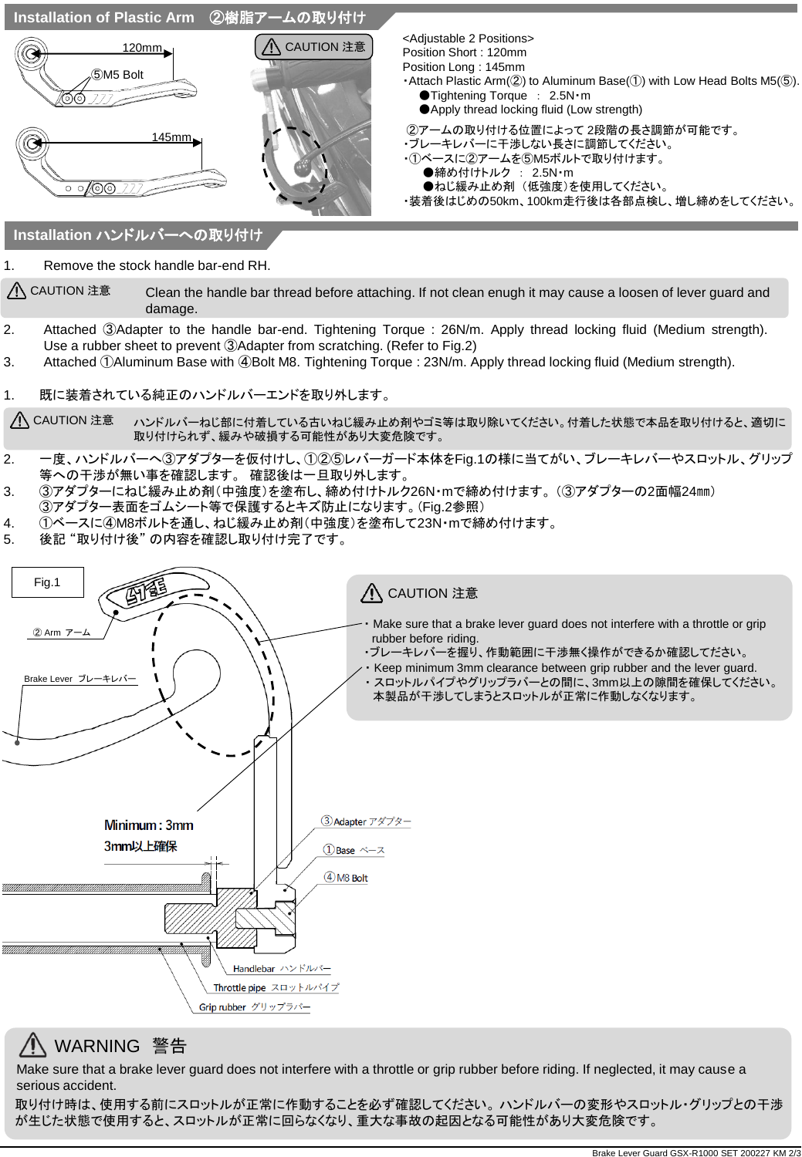

 $\bigwedge$  CAUTION  $\ddot{x}$  Clean the handle bar thread before attaching. If not clean enugh it may cause a loosen of lever guard and damage.

- 2. Attached ③Adapter to the handle bar-end. Tightening Torque : 26N/m. Apply thread locking fluid (Medium strength). Use a rubber sheet to prevent ③Adapter from scratching. (Refer to Fig.2)
- 3. Attached ①Aluminum Base with ④Bolt M8. Tightening Torque : 23N/m. Apply thread locking fluid (Medium strength).
- 1. 既に装着されている純正のハンドルバーエンドを取り外します。

<u>/ヘ</u> CAUTION 注意 こハンドルバーねじ部に付着している古いねじ緩み止め剤やゴミ等は取り除いてください。付着した状態で本品を取り付けると、適切に 取り付けられず、緩みや破損する可能性があり大変危険です。

- 2. 一度、ハンドルバーへ③アダプターを仮付けし、①②⑤レバーガード本体をFig.1の様に当てがい、ブレーキレバーやスロットル、グリップ 等への干渉が無い事を確認します。 確認後は一旦取り外します。
- 3. ③アダプターにねじ緩み止め剤(中強度)を塗布し、締め付けトルク26N・mで締め付けます。 (③アダプターの2面幅24㎜) ③アダプター表面をゴムシート等で保護するとキズ防止になります。(Fig.2参照)
- 4. ①ベースに④M8ボルトを通し、ねじ緩み止め剤(中強度)を塗布して23N・mで締め付けます。
- 5. 後記 "取り付け後" の内容を確認し取り付け完了です。



# WARNING 警告

Make sure that a brake lever guard does not interfere with a throttle or grip rubber before riding. If neglected, it may cause a serious accident.

取り付け時は、使用する前にスロットルが正常に作動することを必ず確認してください。 ハンドルバーの変形やスロットル・グリップとの干渉 が生じた状態で使用すると、スロットルが正常に回らなくなり、重大な事故の起因となる可能性があり大変危険です。